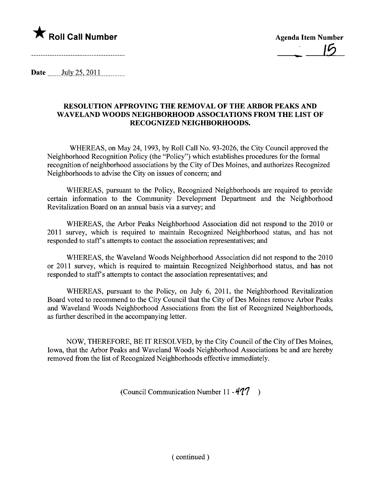

 $-15$ 

Date  $\frac{\text{July }25,2011}{\text{July }25,2011}$ 

## RESOLUTION APPROVING THE REMOVAL OF THE ARBOR PEAKS AND WAVELAND WOODS NEIGHBORHOOD ASSOCIATIONS FROM THE LIST OF RECOGNIZED NEIGHBORHOODS.

WHEREAS, on May 24, 1993, by Roll Call No. 93-2026, the City Council approved the Neighborhood Recognition Policy (the "Policy") which establishes procedures for the formal recognition of neighborhood associations by the City of Des Moines, and authorizes Recognized Neighborhoods to advise the City on issues of concern; and

WHEREAS, pursuant to the Policy, Recognized Neighborhoods are required to provide certain information to the Community Development Department and the Neighborhood Revitalization Board on an annual basis via a survey; and

WHEREAS, the Arbor Peaks Neighborhood Association did not respond to the 2010 or 2011 survey, which is required to maintain Recognized Neighborhood status, and has not responded to staff's attempts to contact the association representatives; and

WHEREAS, the Waveland Woods Neighborhood Association did not respond to the 2010 or 2011 survey, which is required to maintain Recognized Neighborhood status, and has not responded to staff's attempts to contact the association representatives; and

WHEREAS, pursuant to the Policy, on July 6, 2011, the Neighborhood Revitalization Board voted to recommend to the City Council that the City of Des Moines remove Arbor Peaks and Waveland Woods Neighborhood Associations from the list of Recognized Neighborhoods, as further described in the accompanying letter.

NOW, THEREFORE, BE IT RESOLVED, by the City Council of the City of Des Moines, Iowa, that the Arbor Peaks and Waveland Woods Neighborhood Associations be and are hereby removed from the list of Recognized Neighborhoods effective immediately.

(Council Communication Number 11 -  $477$ )

( continued)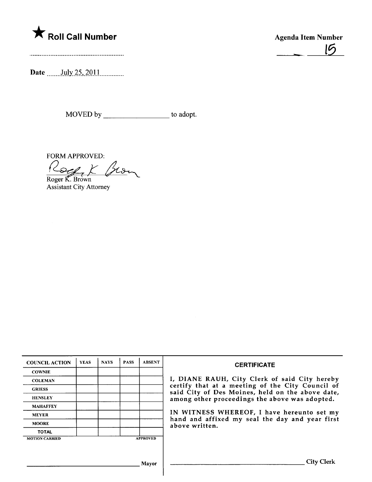

- <sup>15</sup>

Date \_\_\_\_\_\_\_July 25, 2011

MOVED by \_\_\_\_\_\_\_\_\_\_\_\_\_\_\_\_\_\_\_\_\_\_\_ to adopt.

FORM APPROVED:<br>
Roger K. Brown<br>
Assistant City Attorney

| <b>COUNCIL ACTION</b>                    | <b>YEAS</b> | <b>NAYS</b> | <b>PASS</b> | <b>ABSENT</b> | <b>CERTIFICATE</b>                                                                                                                                                                                                                                                                                                         |
|------------------------------------------|-------------|-------------|-------------|---------------|----------------------------------------------------------------------------------------------------------------------------------------------------------------------------------------------------------------------------------------------------------------------------------------------------------------------------|
| <b>COWNIE</b>                            |             |             |             |               | I, DIANE RAUH, City Clerk of said City hereby<br>certify that at a meeting of the City Council of<br>said City of Des Moines, held on the above date,<br>among other proceedings the above was adopted.<br>IN WITNESS WHEREOF, I have hereunto set my<br>hand and affixed my seal the day and year first<br>above written. |
| <b>COLEMAN</b>                           |             |             |             |               |                                                                                                                                                                                                                                                                                                                            |
| <b>GRIESS</b>                            |             |             |             |               |                                                                                                                                                                                                                                                                                                                            |
| <b>HENSLEY</b>                           |             |             |             |               |                                                                                                                                                                                                                                                                                                                            |
| <b>MAHAFFEY</b>                          |             |             |             |               |                                                                                                                                                                                                                                                                                                                            |
| <b>MEYER</b>                             |             |             |             |               |                                                                                                                                                                                                                                                                                                                            |
| <b>MOORE</b>                             |             |             |             |               |                                                                                                                                                                                                                                                                                                                            |
| <b>TOTAL</b>                             |             |             |             |               |                                                                                                                                                                                                                                                                                                                            |
| <b>APPROVED</b><br><b>MOTION CARRIED</b> |             |             |             |               |                                                                                                                                                                                                                                                                                                                            |
|                                          |             |             |             |               |                                                                                                                                                                                                                                                                                                                            |
|                                          |             |             |             |               |                                                                                                                                                                                                                                                                                                                            |
| Mayor                                    |             |             |             |               | <b>City Clerk</b>                                                                                                                                                                                                                                                                                                          |